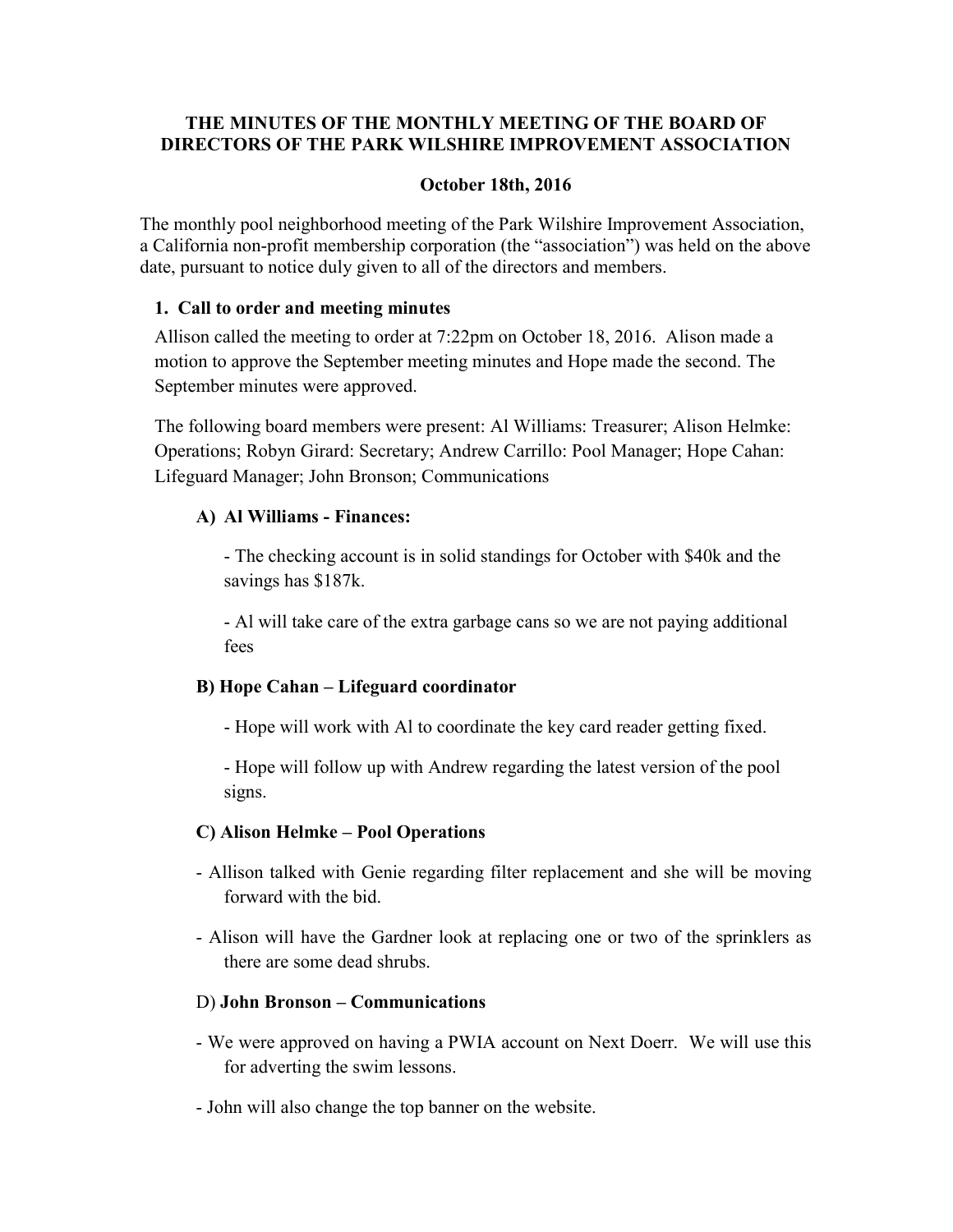#### THE MINUTES OF THE MONTHLY MEETING OF THE BOARD OF DIRECTORS OF THE PARK WILSHIRE IMPROVEMENT ASSOCIATION

#### October 18th, 2016

The monthly pool neighborhood meeting of the Park Wilshire Improvement Association, a California non-profit membership corporation (the "association") was held on the above date, pursuant to notice duly given to all of the directors and members.

#### 1. Call to order and meeting minutes

Allison called the meeting to order at 7:22pm on October 18, 2016. Alison made a motion to approve the September meeting minutes and Hope made the second. The September minutes were approved.

The following board members were present: Al Williams: Treasurer; Alison Helmke: Operations; Robyn Girard: Secretary; Andrew Carrillo: Pool Manager; Hope Cahan: Lifeguard Manager; John Bronson; Communications

## A) Al Williams - Finances:

- The checking account is in solid standings for October with \$40k and the savings has \$187k.

- Al will take care of the extra garbage cans so we are not paying additional fees

## B) Hope Cahan – Lifeguard coordinator

- Hope will work with Al to coordinate the key card reader getting fixed.

- Hope will follow up with Andrew regarding the latest version of the pool signs.

## C) Alison Helmke – Pool Operations

- Allison talked with Genie regarding filter replacement and she will be moving forward with the bid.
- Alison will have the Gardner look at replacing one or two of the sprinklers as there are some dead shrubs.

#### D) John Bronson – Communications

- We were approved on having a PWIA account on Next Doerr. We will use this for adverting the swim lessons.
- John will also change the top banner on the website.